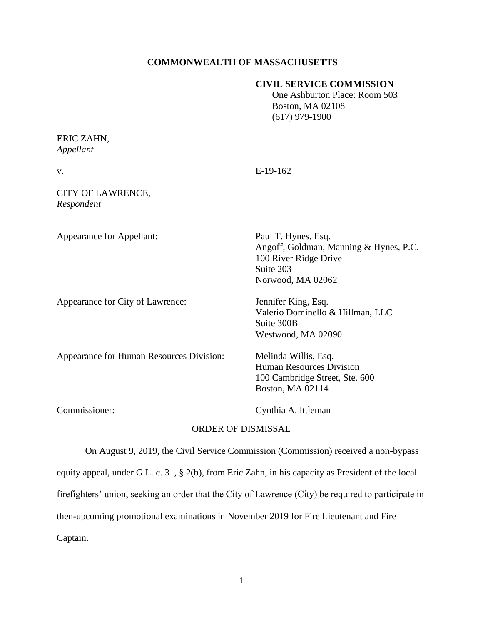## **COMMONWEALTH OF MASSACHUSETTS**

### **CIVIL SERVICE COMMISSION**

 One Ashburton Place: Room 503 Boston, MA 02108 (617) 979-1900

#### ERIC ZAHN, *Appellant*

| v.                                       | $E-19-162$                                                                                                               |
|------------------------------------------|--------------------------------------------------------------------------------------------------------------------------|
| CITY OF LAWRENCE,<br>Respondent          |                                                                                                                          |
| <b>Appearance for Appellant:</b>         | Paul T. Hynes, Esq.<br>Angoff, Goldman, Manning & Hynes, P.C.<br>100 River Ridge Drive<br>Suite 203<br>Norwood, MA 02062 |
| Appearance for City of Lawrence:         | Jennifer King, Esq.<br>Valerio Dominello & Hillman, LLC<br>Suite 300B<br>Westwood, MA 02090                              |
| Appearance for Human Resources Division: | Melinda Willis, Esq.<br><b>Human Resources Division</b><br>100 Cambridge Street, Ste. 600<br>Boston, MA 02114            |
| Commissioner:                            | Cynthia A. Ittleman                                                                                                      |

### ORDER OF DISMISSAL

On August 9, 2019, the Civil Service Commission (Commission) received a non-bypass equity appeal, under G.L. c. 31, § 2(b), from Eric Zahn, in his capacity as President of the local firefighters' union, seeking an order that the City of Lawrence (City) be required to participate in then-upcoming promotional examinations in November 2019 for Fire Lieutenant and Fire Captain.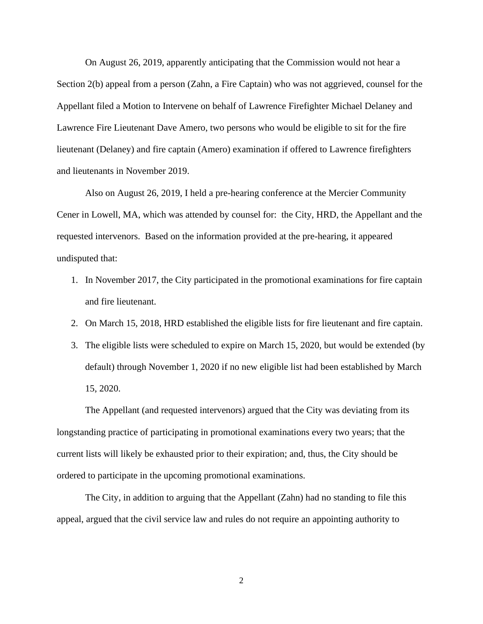On August 26, 2019, apparently anticipating that the Commission would not hear a Section 2(b) appeal from a person (Zahn, a Fire Captain) who was not aggrieved, counsel for the Appellant filed a Motion to Intervene on behalf of Lawrence Firefighter Michael Delaney and Lawrence Fire Lieutenant Dave Amero, two persons who would be eligible to sit for the fire lieutenant (Delaney) and fire captain (Amero) examination if offered to Lawrence firefighters and lieutenants in November 2019.

Also on August 26, 2019, I held a pre-hearing conference at the Mercier Community Cener in Lowell, MA, which was attended by counsel for: the City, HRD, the Appellant and the requested intervenors. Based on the information provided at the pre-hearing, it appeared undisputed that:

- 1. In November 2017, the City participated in the promotional examinations for fire captain and fire lieutenant.
- 2. On March 15, 2018, HRD established the eligible lists for fire lieutenant and fire captain.
- 3. The eligible lists were scheduled to expire on March 15, 2020, but would be extended (by default) through November 1, 2020 if no new eligible list had been established by March 15, 2020.

The Appellant (and requested intervenors) argued that the City was deviating from its longstanding practice of participating in promotional examinations every two years; that the current lists will likely be exhausted prior to their expiration; and, thus, the City should be ordered to participate in the upcoming promotional examinations.

The City, in addition to arguing that the Appellant (Zahn) had no standing to file this appeal, argued that the civil service law and rules do not require an appointing authority to

2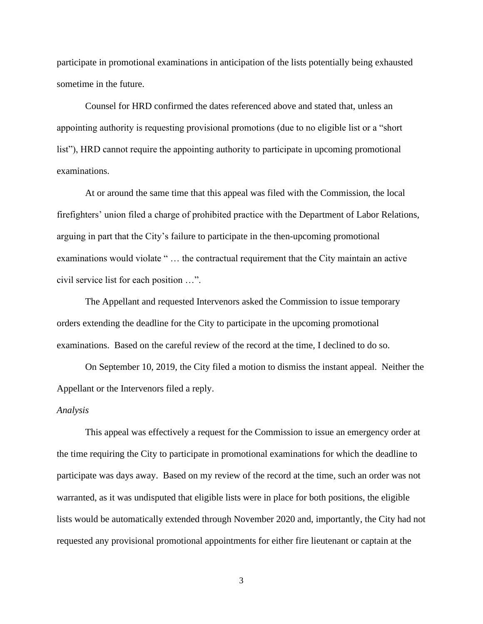participate in promotional examinations in anticipation of the lists potentially being exhausted sometime in the future.

Counsel for HRD confirmed the dates referenced above and stated that, unless an appointing authority is requesting provisional promotions (due to no eligible list or a "short list"), HRD cannot require the appointing authority to participate in upcoming promotional examinations.

At or around the same time that this appeal was filed with the Commission, the local firefighters' union filed a charge of prohibited practice with the Department of Labor Relations, arguing in part that the City's failure to participate in the then-upcoming promotional examinations would violate " … the contractual requirement that the City maintain an active civil service list for each position …".

The Appellant and requested Intervenors asked the Commission to issue temporary orders extending the deadline for the City to participate in the upcoming promotional examinations. Based on the careful review of the record at the time, I declined to do so.

On September 10, 2019, the City filed a motion to dismiss the instant appeal. Neither the Appellant or the Intervenors filed a reply.

#### *Analysis*

This appeal was effectively a request for the Commission to issue an emergency order at the time requiring the City to participate in promotional examinations for which the deadline to participate was days away. Based on my review of the record at the time, such an order was not warranted, as it was undisputed that eligible lists were in place for both positions, the eligible lists would be automatically extended through November 2020 and, importantly, the City had not requested any provisional promotional appointments for either fire lieutenant or captain at the

3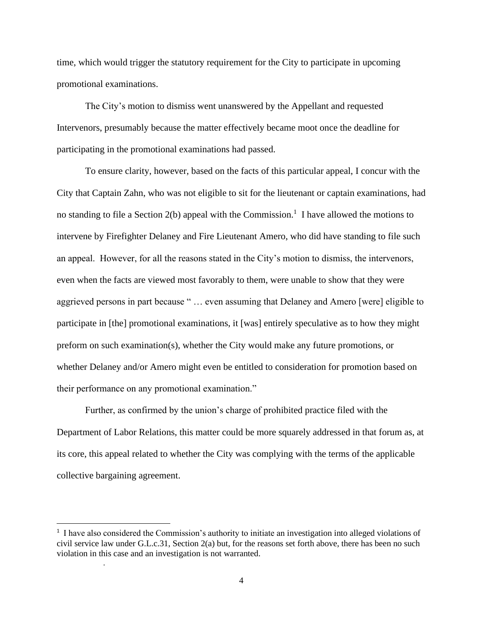time, which would trigger the statutory requirement for the City to participate in upcoming promotional examinations.

The City's motion to dismiss went unanswered by the Appellant and requested Intervenors, presumably because the matter effectively became moot once the deadline for participating in the promotional examinations had passed.

To ensure clarity, however, based on the facts of this particular appeal, I concur with the City that Captain Zahn, who was not eligible to sit for the lieutenant or captain examinations, had no standing to file a Section  $2(b)$  appeal with the Commission.<sup>1</sup> I have allowed the motions to intervene by Firefighter Delaney and Fire Lieutenant Amero, who did have standing to file such an appeal. However, for all the reasons stated in the City's motion to dismiss, the intervenors, even when the facts are viewed most favorably to them, were unable to show that they were aggrieved persons in part because " … even assuming that Delaney and Amero [were] eligible to participate in [the] promotional examinations, it [was] entirely speculative as to how they might preform on such examination(s), whether the City would make any future promotions, or whether Delaney and/or Amero might even be entitled to consideration for promotion based on their performance on any promotional examination."

 Further, as confirmed by the union's charge of prohibited practice filed with the Department of Labor Relations, this matter could be more squarely addressed in that forum as, at its core, this appeal related to whether the City was complying with the terms of the applicable collective bargaining agreement.

.

<sup>&</sup>lt;sup>1</sup> I have also considered the Commission's authority to initiate an investigation into alleged violations of civil service law under G.L.c.31, Section 2(a) but, for the reasons set forth above, there has been no such violation in this case and an investigation is not warranted.